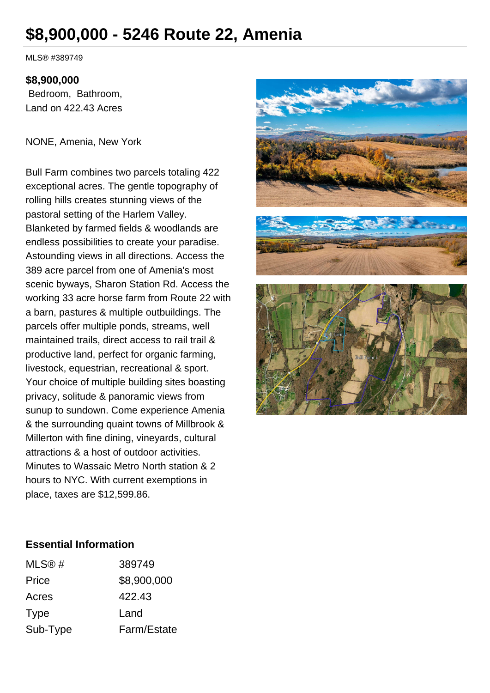# **\$8,900,000 - 5246 Route 22, Amenia**

MLS® #389749

#### **\$8,900,000**

 Bedroom, Bathroom, Land on 422.43 Acres

NONE, Amenia, New York

Bull Farm combines two parcels totaling 422 exceptional acres. The gentle topography of rolling hills creates stunning views of the pastoral setting of the Harlem Valley. Blanketed by farmed fields & woodlands are endless possibilities to create your paradise. Astounding views in all directions. Access the 389 acre parcel from one of Amenia's most scenic byways, Sharon Station Rd. Access the working 33 acre horse farm from Route 22 with a barn, pastures & multiple outbuildings. The parcels offer multiple ponds, streams, well maintained trails, direct access to rail trail & productive land, perfect for organic farming, livestock, equestrian, recreational & sport. Your choice of multiple building sites boasting privacy, solitude & panoramic views from sunup to sundown. Come experience Amenia & the surrounding quaint towns of Millbrook & Millerton with fine dining, vineyards, cultural attractions & a host of outdoor activities. Minutes to Wassaic Metro North station & 2 hours to NYC. With current exemptions in place, taxes are \$12,599.86.



#### **Essential Information**

| MLS@#    | 389749      |
|----------|-------------|
| Price    | \$8,900,000 |
| Acres    | 422.43      |
| Type     | Land        |
| Sub-Type | Farm/Estate |